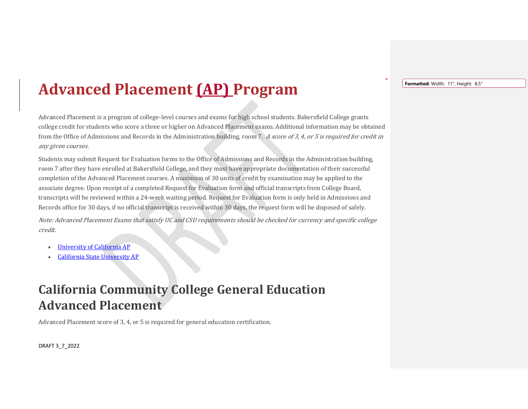## **Advanced Placement (AP) Program**

Advanced Placement is a program of college-level courses and exams for high school students. Bakersfield College grants college credit for students who score a three or higher on Advanced Placement exams. Additional information may be obtained from the Office of Admissions and Records in the Administration building, room 7. A score of 3, 4, or 5 is required for credit in any given courses.

Students may submit Request for Evaluation forms to the Office of Admissions and Records in the Administration building, room 7 after they have enrolled at Bakersfield College, and they must have appropriate documentation of their successful completion of the Advanced Placement courses. A maximum of 30 units of credit by examination may be applied to the associate degree. Upon receipt of a completed Request for Evaluation form and official transcripts from College Board, transcripts will be reviewed within a 24-week waiting period. Request for Evaluation form is only held in Admissions and Records office for 30 days, if no official transcript is received within 30 days, the request form will be disposed of safely.

Note: Advanced Placement Exams that satisfy UC and CSU requirements should be checked for currency and specific college credit.

- [University of California AP](http://admission.universityofcalifornia.edu/counselors/files/ap-satisfy-admission-and-igetc-req.pdf)
- [California State University AP](http://www.calstate.edu/transfer/requirements/AdvancedPlacementAPCourses.shtml)

## **California Community College General Education Advanced Placement**

Advanced Placement score of 3, 4, or 5 is required for general education certification.

DRAFT 3\_7\_2022

**Formatted:** Width: 11", Height: 8.5"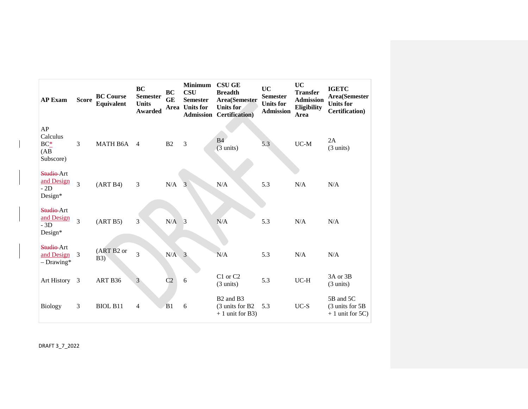| <b>AP Exam</b>                                    | <b>Score</b>   | <b>BC Course</b><br>Equivalent | <b>BC</b><br><b>Semester</b><br><b>Units</b><br><b>Awarded</b> | BC<br>GE<br>Area | <b>Minimum</b><br><b>CSU</b><br><b>Semester</b><br><b>Units for</b> | <b>CSU GE</b><br><b>Breadth</b><br>Area(Semester<br><b>Units for</b><br><b>Admission Certification</b> ) | <b>UC</b><br><b>Semester</b><br><b>Units for</b><br><b>Admission</b> | <b>UC</b><br><b>Transfer</b><br><b>Admission</b><br>Eligibility<br>Area | <b>IGETC</b><br><b>Area</b> (Semester<br><b>Units for</b><br><b>Certification</b> ) |
|---------------------------------------------------|----------------|--------------------------------|----------------------------------------------------------------|------------------|---------------------------------------------------------------------|----------------------------------------------------------------------------------------------------------|----------------------------------------------------------------------|-------------------------------------------------------------------------|-------------------------------------------------------------------------------------|
| AP<br>Calculus<br>$BC_{-}^*$<br>(AB)<br>Subscore) | $\overline{3}$ | MATH B6A                       | $\overline{4}$                                                 | B <sub>2</sub>   | 3                                                                   | <b>B4</b><br>$(3 \text{ units})$                                                                         | 5.3                                                                  | $UC-M$                                                                  | 2A<br>$(3 \text{ units})$                                                           |
| Studio-Art<br>and Design<br>$-2D$<br>Design*      | 3              | (ART B4)                       | $\overline{3}$                                                 | N/A              | 3                                                                   | N/A                                                                                                      | 5.3                                                                  | N/A                                                                     | N/A                                                                                 |
| Studio-Art<br>and Design<br>$-3D$<br>Design*      | $\overline{3}$ | (ART B5)                       | 3 <sup>2</sup>                                                 | N/A              | $\overline{3}$                                                      | N/A                                                                                                      | 5.3                                                                  | N/A                                                                     | N/A                                                                                 |
| Studio-Art<br>and Design<br>$-Drawing*$           | 3              | (ART B2 or<br><b>B3</b> )      | $\overline{3}$                                                 | N/A              | 3                                                                   | N/A                                                                                                      | 5.3                                                                  | N/A                                                                     | N/A                                                                                 |
| Art History 3                                     |                | ART B36                        | $\overline{3}$                                                 | C <sub>2</sub>   | 6                                                                   | C1 or C2<br>$(3 \text{ units})$                                                                          | 5.3                                                                  | $UC-H$                                                                  | 3A or 3B<br>$(3 \text{ units})$                                                     |
| <b>Biology</b>                                    | 3              | <b>BIOL B11</b>                | $\overline{4}$                                                 | B1               | 6                                                                   | B <sub>2</sub> and B <sub>3</sub><br>(3 units for B2)<br>$+1$ unit for B3)                               | 5.3                                                                  | $UC-S$                                                                  | 5B and 5C<br>$(3 \text{ units for } 5B)$<br>$+1$ unit for 5C)                       |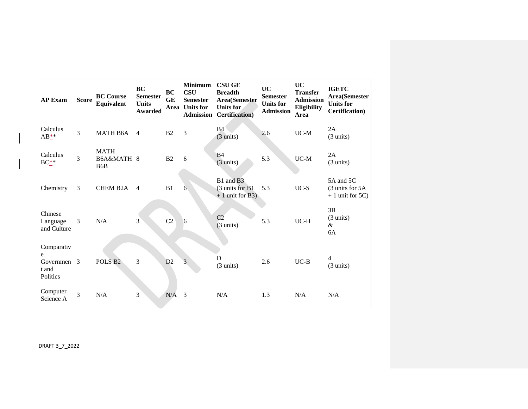| <b>AP Exam</b>                                      | <b>Score</b> | <b>BC Course</b><br><b>Equivalent</b>         | <b>BC</b><br><b>Semester</b><br><b>Units</b><br><b>Awarded</b> | <b>BC</b><br><b>GE</b><br>Area | <b>Minimum</b><br><b>CSU</b><br><b>Semester</b><br><b>Units for</b><br><b>Admission</b> | <b>CSU GE</b><br><b>Breadth</b><br>Area(Semester<br>Units for<br><b>Certification</b> ) | UC<br><b>Semester</b><br><b>Units for</b><br><b>Admission</b> | UC<br><b>Transfer</b><br><b>Admission</b><br>Eligibility<br>Area | <b>IGETC</b><br>Area(Semester<br><b>Units for</b><br><b>Certification</b> ) |
|-----------------------------------------------------|--------------|-----------------------------------------------|----------------------------------------------------------------|--------------------------------|-----------------------------------------------------------------------------------------|-----------------------------------------------------------------------------------------|---------------------------------------------------------------|------------------------------------------------------------------|-----------------------------------------------------------------------------|
| Calculus<br>$AB_{-}^{**}$                           | 3            | MATH B6A                                      | $\overline{4}$                                                 | B <sub>2</sub>                 | 3                                                                                       | B4<br>$(3 \text{ units})$                                                               | 2.6                                                           | $UC-M$                                                           | 2A<br>$(3 \text{ units})$                                                   |
| Calculus<br>$BC_{-}^*$                              | 3            | <b>MATH</b><br>B6A&MATH 8<br>B <sub>6</sub> B |                                                                | B <sub>2</sub>                 | 6                                                                                       | <b>B4</b><br>$(3 \text{ units})$                                                        | 5.3                                                           | $UC-M$                                                           | 2A<br>$(3 \text{ units})$                                                   |
| Chemistry                                           | 3            | <b>CHEM B2A</b>                               | $\overline{4}$                                                 | B1                             | 6                                                                                       | B1 and B3<br>(3 units for B1<br>$+1$ unit for B3)                                       | 5.3                                                           | $UC-S$                                                           | 5A and 5C<br>(3 units for 5A<br>$+1$ unit for 5C)                           |
| Chinese<br>Language<br>and Culture                  | 3            | N/A                                           | 3                                                              | C2                             | 6                                                                                       | C2<br>$(3 \text{ units})$                                                               | 5.3                                                           | $UC-H$                                                           | 3B<br>$(3 \text{ units})$<br>&<br>6A                                        |
| Comparativ<br>e<br>Governmen 3<br>t and<br>Politics |              | POLS <sub>B2</sub>                            | $\overline{3}$                                                 | D2                             | 3                                                                                       | D<br>$(3 \text{ units})$                                                                | 2.6                                                           | $UC-B$                                                           | $\overline{4}$<br>$(3 \text{ units})$                                       |
| Computer<br>Science A                               | 3            | N/A                                           | 3                                                              | N/A                            | 3                                                                                       | N/A                                                                                     | 1.3                                                           | N/A                                                              | N/A                                                                         |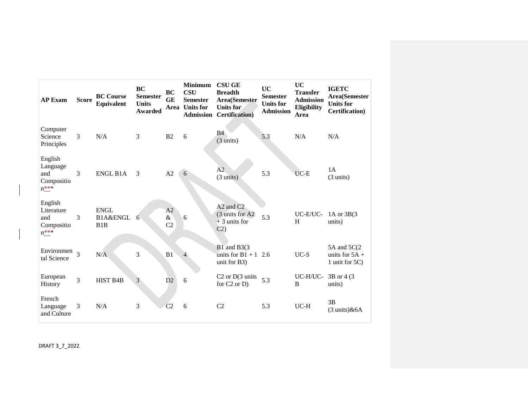| <b>AP Exam</b>                                              | <b>Score</b>   | <b>BC</b> Course<br><b>Equivalent</b> | <b>BC</b><br><b>Semester</b><br><b>Units</b><br><b>Awarded</b> | <b>BC</b><br><b>GE</b><br>Area | <b>Minimum</b><br><b>CSU</b><br><b>Semester</b><br><b>Units for</b><br><b>Admission</b> | <b>CSU GE</b><br><b>Breadth</b><br><b>Area</b> (Semester<br>Units for<br><b>Certification</b> ) | <b>UC</b><br><b>Semester</b><br><b>Units for</b><br><b>Admission</b> | <b>UC</b><br><b>Transfer</b><br><b>Admission</b><br>Eligibility<br>Area | <b>IGETC</b><br>Area(Semester<br><b>Units for</b><br><b>Certification</b> ) |
|-------------------------------------------------------------|----------------|---------------------------------------|----------------------------------------------------------------|--------------------------------|-----------------------------------------------------------------------------------------|-------------------------------------------------------------------------------------------------|----------------------------------------------------------------------|-------------------------------------------------------------------------|-----------------------------------------------------------------------------|
| Computer<br>Science<br>Principles                           | $\overline{3}$ | N/A                                   | 3                                                              | B <sub>2</sub>                 | 6                                                                                       | <b>B</b> 4<br>$(3 \text{ units})$                                                               | 5.3                                                                  | N/A                                                                     | N/A                                                                         |
| English<br>Language<br>and<br>Compositio<br>$n***$          | 3              | <b>ENGL B1A</b>                       | 3                                                              | A2                             | 6                                                                                       | A2<br>$(3 \text{ units})$                                                                       | 5.3                                                                  | $UC-E$                                                                  | 1A<br>$(3 \text{ units})$                                                   |
| English<br>Literature<br>and<br>Compositio<br>$n_{-}^{***}$ | 3              | <b>ENGL</b><br>B1A&ENGL<br>B1B        | 6                                                              | A2<br>$\&$<br>C <sub>2</sub>   | 6                                                                                       | A <sub>2</sub> and C <sub>2</sub><br>(3 units for A2)<br>$+3$ units for<br>C2)                  | 5.3                                                                  | UC-E/UC-<br>H                                                           | 1A or $3B(3)$<br>units)                                                     |
| Environmen<br>tal Science                                   | $\overline{3}$ | N/A                                   | 3                                                              | B1                             | $\overline{4}$                                                                          | B1 and B3(3)<br>units for $B1 + 1$<br>unit for B3)                                              | 2.6                                                                  | $UC-S$                                                                  | 5A and 5C(2)<br>units for $5A +$<br>1 unit for 5C)                          |
| European<br><b>History</b>                                  | $\overline{3}$ | <b>HIST B4B</b>                       | 3                                                              | D2                             | 6                                                                                       | C <sub>2</sub> or D <sub>(3</sub> units<br>for $C2$ or $D$ )                                    | 5.3                                                                  | UC-H/UC-<br>B                                                           | 3B or 4 (3)<br>units)                                                       |
| French<br>Language<br>and Culture                           | 3              | N/A                                   | 3                                                              | C <sub>2</sub>                 | 6                                                                                       | C <sub>2</sub>                                                                                  | 5.3                                                                  | $UC-H$                                                                  | 3B<br>$(3 \text{ units})$ &6A                                               |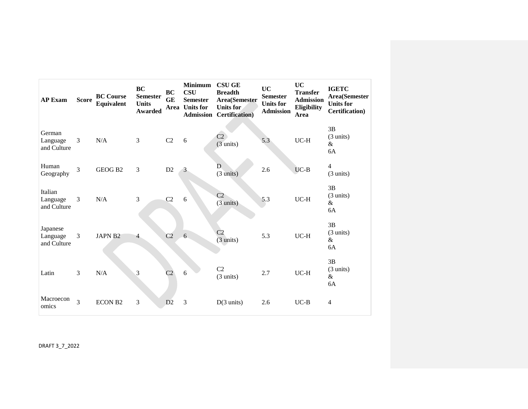| <b>AP Exam</b>                      | <b>Score</b>   | <b>BC</b> Course<br>Equivalent | <b>BC</b><br><b>Semester</b><br><b>Units</b><br><b>Awarded</b> | <b>BC</b><br><b>GE</b><br>Area | <b>Minimum</b><br><b>CSU</b><br><b>Semester</b><br><b>Units for</b> | <b>CSU GE</b><br><b>Breadth</b><br>Area(Semester<br>Units for<br><b>Admission Certification</b> ) | <b>UC</b><br><b>Semester</b><br><b>Units for</b><br><b>Admission</b> | <b>UC</b><br><b>Transfer</b><br><b>Admission</b><br>Eligibility<br>Area | <b>IGETC</b><br>Area(Semester<br><b>Units for</b><br><b>Certification</b> ) |
|-------------------------------------|----------------|--------------------------------|----------------------------------------------------------------|--------------------------------|---------------------------------------------------------------------|---------------------------------------------------------------------------------------------------|----------------------------------------------------------------------|-------------------------------------------------------------------------|-----------------------------------------------------------------------------|
| German<br>Language<br>and Culture   | 3              | N/A                            | 3                                                              | C2                             | 6                                                                   | C <sub>2</sub><br>$(3 \text{ units})$                                                             | 5.3                                                                  | $UC-H$                                                                  | 3B<br>$(3 \text{ units})$<br>&<br>6A                                        |
| Human<br>Geography                  | 3              | GEOG B <sub>2</sub>            | 3                                                              | D2                             | 3                                                                   | D<br>$(3 \text{ units})$                                                                          | 2.6                                                                  | $UC-B$                                                                  | $\overline{4}$<br>$(3 \text{ units})$                                       |
| Italian<br>Language<br>and Culture  | 3              | N/A                            | 3                                                              | C2                             | 6                                                                   | C <sub>2</sub><br>$(3 \text{ units})$                                                             | 5.3                                                                  | $UC-H$                                                                  | 3B<br>$(3 \text{ units})$<br>&<br>6A                                        |
| Japanese<br>Language<br>and Culture | 3              | <b>JAPN B2</b>                 | $\overline{4}$                                                 | C <sub>2</sub>                 | 6                                                                   | C <sub>2</sub><br>$(3 \text{ units})$                                                             | 5.3                                                                  | $UC-H$                                                                  | 3B<br>$(3 \text{ units})$<br>&<br>6A                                        |
| Latin                               | 3              | N/A                            | 3                                                              | C <sub>2</sub>                 | 6                                                                   | C2<br>$(3 \text{ units})$                                                                         | 2.7                                                                  | $UC-H$                                                                  | 3B<br>$(3 \text{ units})$<br>&<br>6A                                        |
| Macroecon<br>omics                  | $\overline{3}$ | <b>ECON B2</b>                 | 3                                                              | D2                             | 3                                                                   | $D(3 \text{ units})$                                                                              | 2.6                                                                  | $UC-B$                                                                  | $\overline{4}$                                                              |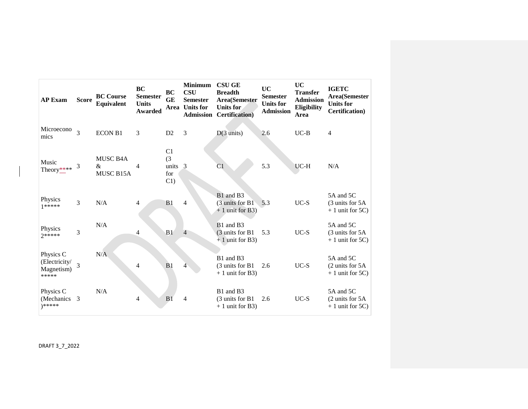| <b>AP Exam</b>                                    | <b>Score</b>   | <b>BC Course</b><br><b>Equivalent</b> | <b>BC</b><br><b>Semester</b><br><b>Units</b><br><b>Awarded</b> | <b>BC</b><br><b>GE</b><br>Area               | <b>Minimum</b><br><b>CSU</b><br><b>Semester</b><br><b>Units for</b><br><b>Admission</b> | <b>CSU GE</b><br><b>Breadth</b><br>Area(Semester<br><b>Units for</b><br><b>Certification</b> ) | <b>UC</b><br><b>Semester</b><br><b>Units for</b><br><b>Admission</b> | <b>UC</b><br><b>Transfer</b><br><b>Admission</b><br>Eligibility<br>Area | <b>IGETC</b><br>Area(Semester<br><b>Units for</b><br>Certification) |
|---------------------------------------------------|----------------|---------------------------------------|----------------------------------------------------------------|----------------------------------------------|-----------------------------------------------------------------------------------------|------------------------------------------------------------------------------------------------|----------------------------------------------------------------------|-------------------------------------------------------------------------|---------------------------------------------------------------------|
| Microecono<br>mics                                | $\overline{3}$ | <b>ECON B1</b>                        | 3                                                              | D2                                           | 3                                                                                       | $D(3 \text{ units})$                                                                           | 2.6                                                                  | $UC-B$                                                                  | $\overline{4}$                                                      |
| Music<br>Theory****                               | 3              | MUSC B4A<br>$\&$<br>MUSC B15A         | 4                                                              | C <sub>1</sub><br>(3)<br>units<br>for<br>C1) | $\overline{3}$                                                                          | C1                                                                                             | 5.3                                                                  | UC-H                                                                    | N/A                                                                 |
| Physics<br>$1*****$                               | 3              | N/A                                   | 4                                                              | B <sub>1</sub>                               | $\overline{4}$                                                                          | B1 and B3<br>(3 units for B1)<br>$+1$ unit for B3)                                             | 5.3                                                                  | $UC-S$                                                                  | 5A and 5C<br>(3 units for 5A)<br>$+1$ unit for 5C)                  |
| Physics<br>$2*****$                               | 3              | N/A                                   | 4                                                              | B1                                           | $\overline{4}$                                                                          | B1 and B3<br>(3 units for B1)<br>$+1$ unit for B3)                                             | 5.3                                                                  | $UC-S$                                                                  | 5A and 5C<br>(3 units for 5A)<br>$+1$ unit for 5C)                  |
| Physics C<br>(Electricity/<br>Magnetism)<br>***** | 3              | N/A                                   | 4                                                              | B <sub>1</sub>                               | 4                                                                                       | B1 and B3<br>(3 units for B1)<br>$+1$ unit for B3)                                             | 2.6                                                                  | $UC-S$                                                                  | 5A and 5C<br>$(2 \text{ units for } 5A)$<br>$+1$ unit for 5C)       |
| Physics C<br>(Mechanics)<br>)*****                | 3              | N/A                                   | 4                                                              | B <sub>1</sub>                               | $\overline{4}$                                                                          | B1 and B3<br>(3 units for B1<br>$+1$ unit for B3)                                              | 2.6                                                                  | $UC-S$                                                                  | 5A and 5C<br>(2 units for 5A<br>$+1$ unit for 5C)                   |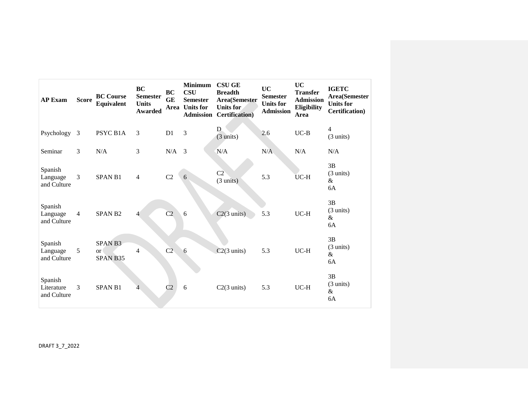| <b>AP Exam</b>                       | <b>Score</b>   | <b>BC Course</b><br><b>Equivalent</b>      | <b>BC</b><br><b>Semester</b><br><b>Units</b><br><b>Awarded</b> | <b>BC</b><br><b>GE</b> | <b>Minimum</b><br><b>CSU</b><br><b>Semester</b><br>Area Units for<br><b>Admission</b> | <b>CSU GE</b><br><b>Breadth</b><br><b>Area</b> (Semester<br><b>Units for</b><br><b>Certification</b> ) | <b>UC</b><br><b>Semester</b><br><b>Units for</b><br><b>Admission</b> | <b>UC</b><br><b>Transfer</b><br><b>Admission</b><br>Eligibility<br>Area | <b>IGETC</b><br>Area(Semester<br><b>Units for</b><br><b>Certification</b> ) |
|--------------------------------------|----------------|--------------------------------------------|----------------------------------------------------------------|------------------------|---------------------------------------------------------------------------------------|--------------------------------------------------------------------------------------------------------|----------------------------------------------------------------------|-------------------------------------------------------------------------|-----------------------------------------------------------------------------|
| Psychology                           | 3              | PSYC B1A                                   | 3                                                              | D <sub>1</sub>         | 3                                                                                     | D<br>$(3 \text{ units})$                                                                               | 2.6                                                                  | $UC-B$                                                                  | 4<br>$(3 \text{ units})$                                                    |
| Seminar                              | 3              | N/A                                        | 3                                                              | N/A                    | 3                                                                                     | N/A                                                                                                    | N/A                                                                  | N/A                                                                     | N/A                                                                         |
| Spanish<br>Language<br>and Culture   | 3              | <b>SPAN B1</b>                             | 4                                                              | C2                     | 6                                                                                     | C2<br>$(3 \text{ units})$                                                                              | 5.3                                                                  | $UC-H$                                                                  | 3B<br>$(3 \text{ units})$<br>&<br>6A                                        |
| Spanish<br>Language<br>and Culture   | $\overline{4}$ | <b>SPAN B2</b>                             | $\overline{4}$                                                 | C <sub>2</sub>         | 6                                                                                     | $C2(3 \text{ units})$                                                                                  | 5.3                                                                  | $UC-H$                                                                  | 3B<br>$(3 \text{ units})$<br>$\&$<br>6A                                     |
| Spanish<br>Language<br>and Culture   | 5              | SPAN <sub>B3</sub><br>$\alpha$<br>SPAN B35 | $\overline{4}$                                                 | C <sub>2</sub>         | 6                                                                                     | $C2(3 \text{ units})$                                                                                  | 5.3                                                                  | $UC-H$                                                                  | 3B<br>$(3 \text{ units})$<br>&<br>6A                                        |
| Spanish<br>Literature<br>and Culture | 3              | <b>SPAN B1</b>                             | $\overline{4}$                                                 | C <sub>2</sub>         | 6                                                                                     | $C2(3 \text{ units})$                                                                                  | 5.3                                                                  | $UC-H$                                                                  | 3B<br>$(3 \text{ units})$<br>$\&$<br>6A                                     |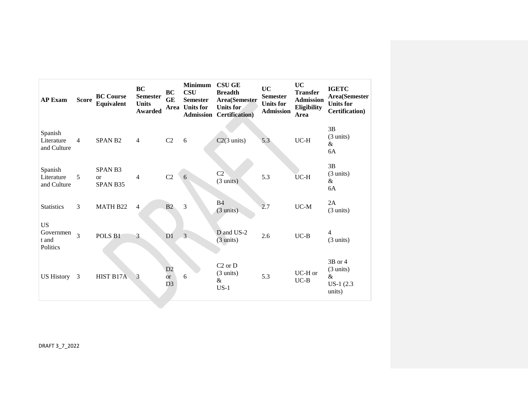| <b>AP Exam</b>                              | <b>Score</b>   | <b>BC Course</b><br><b>Equivalent</b>      | BC<br><b>Semester</b><br><b>Units</b><br>Awarded | <b>BC</b><br>GE<br>Area           | <b>Minimum</b><br><b>CSU</b><br><b>Semester</b><br><b>Units for</b><br><b>Admission</b> | <b>CSU GE</b><br><b>Breadth</b><br>Area(Semester<br>Units for<br><b>Certification</b> ) | <b>UC</b><br><b>Semester</b><br><b>Units for</b><br><b>Admission</b> | <b>UC</b><br><b>Transfer</b><br><b>Admission</b><br>Eligibility<br>Area | <b>IGETC</b><br>Area(Semester<br><b>Units for</b><br><b>Certification</b> ) |
|---------------------------------------------|----------------|--------------------------------------------|--------------------------------------------------|-----------------------------------|-----------------------------------------------------------------------------------------|-----------------------------------------------------------------------------------------|----------------------------------------------------------------------|-------------------------------------------------------------------------|-----------------------------------------------------------------------------|
| Spanish<br>Literature<br>and Culture        | $\overline{4}$ | <b>SPAN B2</b>                             | $\overline{4}$                                   | C <sub>2</sub>                    | 6                                                                                       | $C2(3 \text{ units})$                                                                   | 5.3                                                                  | $UC-H$                                                                  | 3B<br>$(3 \text{ units})$<br>&<br>6A                                        |
| Spanish<br>Literature<br>and Culture        | 5              | SPAN <sub>B3</sub><br>$\alpha$<br>SPAN B35 | $\overline{4}$                                   | C2                                | 6                                                                                       | C2<br>(3 units)                                                                         | 5.3                                                                  | $UC-H$                                                                  | 3B<br>$(3 \text{ units})$<br>&<br>6A                                        |
| <b>Statistics</b>                           | 3              | MATH B22                                   | $\overline{4}$                                   | B2                                | $\overline{3}$                                                                          | B4<br>$(3 \text{ units})$                                                               | 2.7                                                                  | $UC-M$                                                                  | 2A<br>$(3 \text{ units})$                                                   |
| <b>US</b><br>Governmen<br>t and<br>Politics | 3              | POLS <sub>B1</sub>                         | $\mathfrak{Z}$                                   | D1                                | 3                                                                                       | D and US-2<br>$(3 \text{ units})$                                                       | 2.6                                                                  | $UC-B$                                                                  | 4<br>$(3 \text{ units})$                                                    |
| <b>US History</b>                           | 3              | HIST B17A                                  | 3                                                | D2<br><b>or</b><br>D <sub>3</sub> | 6                                                                                       | $C2$ or $D$<br>$(3 \text{ units})$<br>&<br>$US-1$                                       | 5.3                                                                  | UC-H or<br>$UC-B$                                                       | $3B$ or 4<br>$(3 \text{ units})$<br>$\&$<br>$US-1(2.3)$<br>units)           |